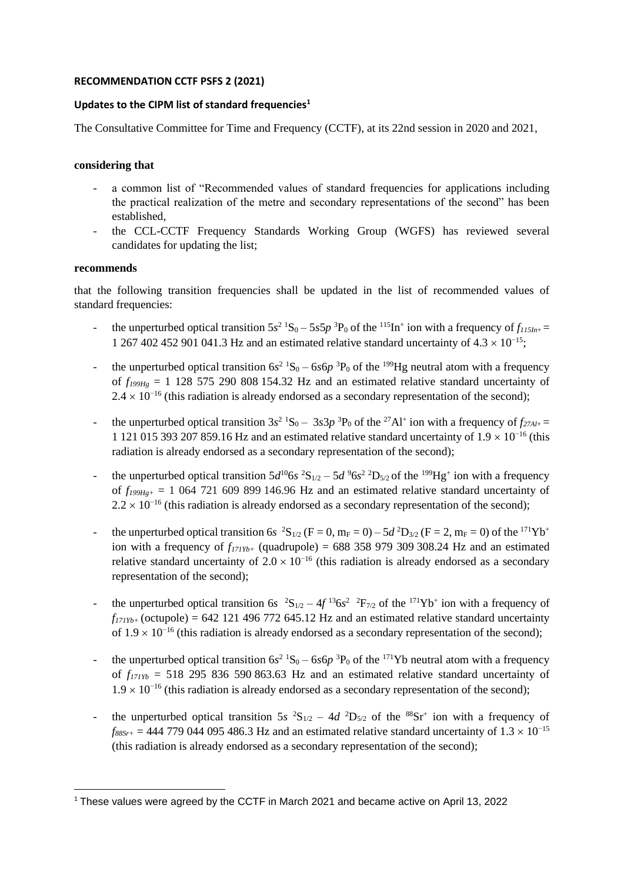## **RECOMMENDATION CCTF PSFS 2 (2021)**

## **Updates to the CIPM list of standard frequencies<sup>1</sup>**

The Consultative Committee for Time and Frequency (CCTF), at its 22nd session in 2020 and 2021,

## **considering that**

- a common list of "Recommended values of standard frequencies for applications including the practical realization of the metre and secondary representations of the second" has been established,
- the CCL-CCTF Frequency Standards Working Group (WGFS) has reviewed several candidates for updating the list;

## **recommends**

that the following transition frequencies shall be updated in the list of recommended values of standard frequencies:

- the unperturbed optical transition  $5s^2$   ${}^1S_0 5s5p$   ${}^3P_0$  of the  ${}^{115}In^+$  ion with a frequency of  $f_{115In^+}$ 1 267 402 452 901 041.3 Hz and an estimated relative standard uncertainty of  $4.3 \times 10^{-15}$ ;
- the unperturbed optical transition  $6s^2$  <sup>1</sup>S<sub>0</sub>  $6s6p$  <sup>3</sup>P<sub>0</sub> of the <sup>199</sup>Hg neutral atom with a frequency of  $f_{199He} = 1$  128 575 290 808 154.32 Hz and an estimated relative standard uncertainty of  $2.4 \times 10^{-16}$  (this radiation is already endorsed as a secondary representation of the second);
- the unperturbed optical transition  $3s^2$   ${}^1S_0 3s^2p^3P_0$  of the <sup>27</sup>Al<sup>+</sup> ion with a frequency of  $f_{27Al+}$ 1 121 015 393 207 859.16 Hz and an estimated relative standard uncertainty of  $1.9 \times 10^{-16}$  (this radiation is already endorsed as a secondary representation of the second);
- the unperturbed optical transition  $5d^{10}$ 6s <sup>2</sup>S<sub>1/2</sub>  $5d^{9}$ 6s<sup>2</sup> <sup>2</sup>D<sub>5/2</sub> of the <sup>199</sup>Hg<sup>+</sup> ion with a frequency of  $f_{199He+}$  = 1 064 721 609 899 146.96 Hz and an estimated relative standard uncertainty of  $2.2 \times 10^{-16}$  (this radiation is already endorsed as a secondary representation of the second);
- the unperturbed optical transition 6*s*  ${}^{2}S_{1/2}$  (F = 0, m<sub>F</sub> = 0) 5*d*  ${}^{2}D_{3/2}$  (F = 2, m<sub>F</sub> = 0) of the <sup>171</sup>Yb<sup>+</sup> ion with a frequency of  $f_{171Yb+}$  (quadrupole) = 688 358 979 309 308.24 Hz and an estimated relative standard uncertainty of  $2.0 \times 10^{-16}$  (this radiation is already endorsed as a secondary representation of the second);
- the unperturbed optical transition 6*s*  ${}^{2}S_{1/2} 4f {}^{13}6s^2 {}^{2}F_{7/2}$  of the  ${}^{171}Yb^+$  ion with a frequency of  $f_{171Yb+}$  (octupole) = 642 121 496 772 645.12 Hz and an estimated relative standard uncertainty of 1.9 × 10<sup>-16</sup> (this radiation is already endorsed as a secondary representation of the second);
- the unperturbed optical transition  $6s^2$  <sup>1</sup>S<sub>0</sub>  $6s6p$  <sup>3</sup>P<sub>0</sub> of the <sup>171</sup>Yb neutral atom with a frequency of  $f_{171Yb}$  = 518 295 836 590 863.63 Hz and an estimated relative standard uncertainty of  $1.9 \times 10^{-16}$  (this radiation is already endorsed as a secondary representation of the second);
- the unperturbed optical transition  $5s$   ${}^{2}S_{1/2} 4d$   ${}^{2}D_{5/2}$  of the  ${}^{88}Sr^{+}$  ion with a frequency of  $f_{88Sr+}$  = 444 779 044 095 486.3 Hz and an estimated relative standard uncertainty of 1.3 × 10<sup>-15</sup> (this radiation is already endorsed as a secondary representation of the second);

<sup>&</sup>lt;sup>1</sup> These values were agreed by the CCTF in March 2021 and became active on April 13, 2022